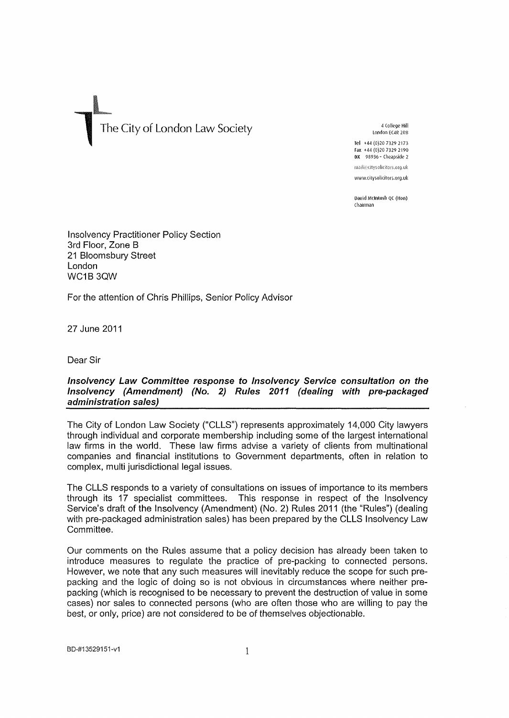## <sup>4 College Hill **1** City of London Law Society 4 College Hill **4 College Hill**</sup>

London EC4R 2Re

Tel +44 (0)20 7329 2173 Fax •t44 (0)20 7329 2190 OX 98936-Cheapside2

mail@citysolicitors.org.uk [www.cliysolicilors.org.uk](http://www.cliysolicilors.org.uk) 

**Oavid Mtimosh** QC **(Hon)**  Chairman

Insolvency Practitioner Policy Section 3rd Floor, Zone B 21 Bloomsbury Street London WC1B3QW

For the attention of Chris Phillips, Senior Policy Advisor

27 June 2011

Dear Sir

## **Insolvency Law Committee response to Insolvency Service consultation on the Insolvency (Amendment) (No. 2) Rules 2011 (dealing with pre-pacliaged administration sales)**

The City of London Law Society ("CLLS") represents approximately 14,000 City lawyers through individual and corporate membership including some of the largest international law firms in the world. These law firms advise a variety of clients from multinational companies and financial institutions to Government departments, often in relation to complex, multi jurisdictional legal issues.

The CLLS responds to a variety of consultations on issues of importance to its members through its 17 specialist committees. This response in respect of the Insolvency Service's draft of the Insolvency (Amendment) (No. 2) Rules 2011 (the "Rules") (dealing with pre-packaged administration sales) has been prepared by the CLLS Insolvency Law Committee.

Our comments on the Rules assume that a policy decision has already been taken to introduce measures to regulate the practice of pre-packing to connected persons. However, we note that any such measures will inevitably reduce the scope for such prepacking and the logic of doing so is not obvious in circumstances where neither prepacking (which is recognised to be necessary to prevent the destruction of value in some cases) nor sales to connected persons (who are often those who are willing to pay the best, or only, price) are not considered to be of themselves objectionable.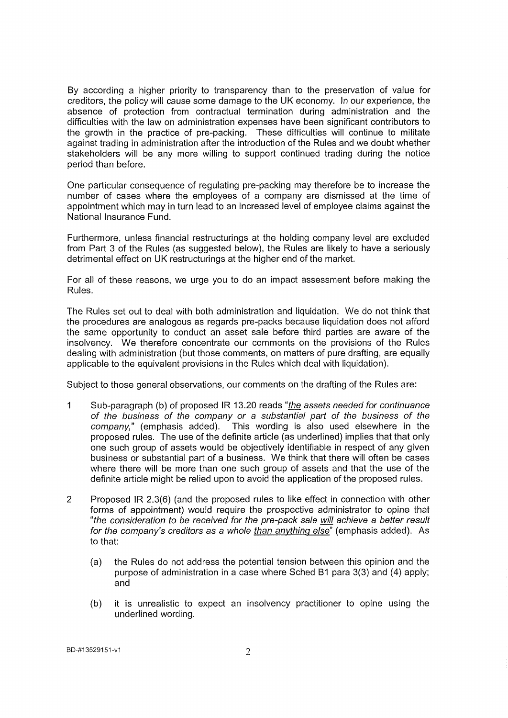By according a higher priority to transparency than to the preservation of value for creditors, the policy will cause some damage to the UK economy. In our experience, the absence of protection from contractual termination during administration and the difficulties with the law on administration expenses have been significant contributors to the growth in the practice of pre-packing. These difficulties will continue to militate against trading in administration after the introduction of the Rules and we doubt whether stakeholders will be any more willing to support continued trading during the notice period than before.

One particular consequence of regulating pre-packing may therefore be to increase the number of cases where the employees of a company are dismissed at the time of appointment which may in turn lead to an increased level of employee claims against the National Insurance Fund.

Furthermore, unless financial restructurings at the holding company level are excluded from Part 3 of the Rules (as suggested below), the Rules are likely to have a seriously detrimental effect on UK restructurings at the higher end of the market.

For all of these reasons, we urge you to do an impact assessment before making the Rules.

The Rules set out to deal with both administration and liquidation. We do not think that the procedures are analogous as regards pre-packs because liquidation does not afford the same opportunity to conduct an asset sale before third parties are aware of the insolvency. We therefore concentrate our comments on the provisions of the Rules dealing with administration (but those comments, on matters of pure drafting, are equally applicable to the equivalent provisions in the Rules which deal with liquidation).

Subject to those general observations, our comments on the drafting of the Rules are:

- 1 Sub-paragraph (b) of proposed IR 13.20 reads "the assets needed for continuance of the business of the company or a substantial part of the business of the company," (emphasis added). This wording is also used elsewhere in the This wording is also used elsewhere in the proposed rules. The use of the definite article (as underlined) implies that that only one such group of assets would be objectively identifiable in respect of any given business or substantial part of a business. We think that there will often be cases where there will be more than one such group of assets and that the use of the definite article might be relied upon to avoid the application of the proposed rules.
- 2 Proposed IR 2.3(6) (and the proposed rules to like effect in connection with other forms of appointment) would require the prospective administrator to opine that "the consideration to be received for the pre-pack sale will achieve a better result for the company's creditors as a whole than anything else" (emphasis added). As to that:
	- (a) the Rules do not address the potential tension between this opinion and the purpose of administration in a case where Sched B1 para 3(3) and (4) apply; and
	- (b) it is unrealistic to expect an insolvency practitioner to opine using the underlined wording.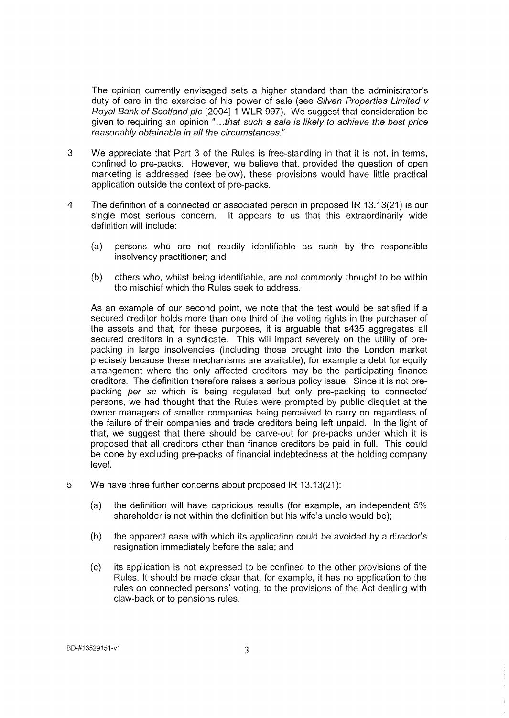The opinion currently envisaged sets a higher standard than the administrator's duty of care in the exercise of his power of sale (see Silven Properties Limited v Royal Bank of Scotland pic [2004] 1 WLR 997). We suggest that consideration be given to requiring an opinion "...that such a sale is likely to achieve the best price reasonably obtainable in all the circumstances."

- 3 We appreciate that Part 3 of the Rules is free-standing in that it is not, in terms, confined to pre-packs. However, we believe that, provided the question of open marketing is addressed (see below), these provisions would have little practical application outside the context of pre-packs.
- 4 The definition of a connected or associated person in proposed IR 13.13(21) is our single most serious concern. It appears to us that this extraordinarily wide definition will include:
	- (a) persons who are not readily identifiable as such by the responsible insolvency practitioner; and
	- (b) others who, whilst being identifiable, are not commonly thought to be within the mischief which the Rules seek to address.

As an example of our second point, we note that the test would be satisfied if a secured creditor holds more than one third of the voting rights in the purchaser of the assets and that, for these purposes, it is arguable that s435 aggregates all secured creditors in a syndicate. This will impact severely on the utility of prepacking in large insolvencies (including those brought into the London market precisely because these mechanisms are available), for example a debt for equity arrangement where the only affected creditors may be the participating finance creditors. The definition therefore raises a serious policy issue. Since it is not prepacking per se which is being regulated but only pre-packing to connected persons, we had thought that the Rules were prompted by public disquiet at the owner managers of smaller companies being perceived to carry on regardless of the failure of their companies and trade creditors being left unpaid. In the light of that, we suggest that there should be carve-out for pre-packs under which it is proposed that all creditors other than finance creditors be paid in full. This could be done by excluding pre-packs of financial indebtedness at the holding company level.

- 5 We have three further concerns about proposed IR 13.13(21):
	- (a) the definition will have capricious results (for example, an independent 5% shareholder is not within the definition but his wife's uncle would be);
	- (b) the apparent ease with which its application could be avoided by a director's resignation immediately before the sale; and
	- (c) its application is not expressed to be confined to the other provisions of the Rules. It should be made clear that, for example, it has no application to the rules on connected persons' voting, to the provisions of the Act dealing with claw-back or to pensions rules.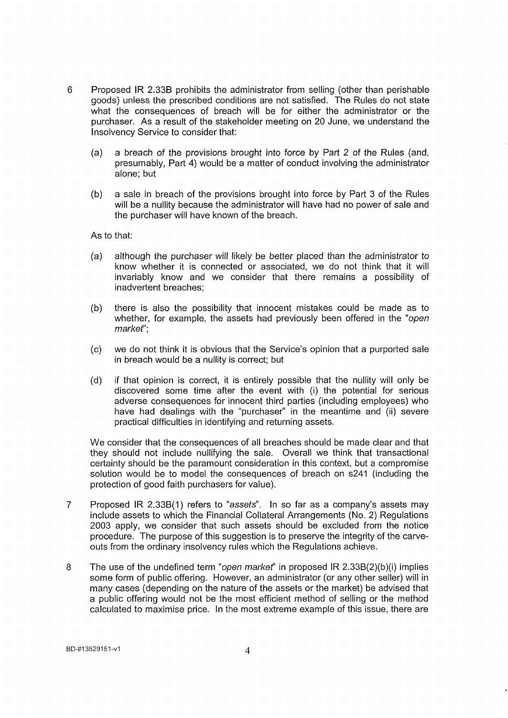- 6 Proposed IR 2.33B prohibits the administrator from selling (other than perishable goods) unless the prescribed conditions are not satisfied. The Rules do not state what the consequences of breach will be for either the administrator or the purchaser. As a result of the stakeholder meeting on 20 June, we understand the Insolvency Service to consider that:
	- (a) a breach of the provisions brought into force by Part 2 of the Rules (and, presumably. Part 4) would be a matter of conduct involving the administrator alone; but
	- (b) a sale in breach of the provisions brought into force by Part 3 of the Rules will be a nullity because the administrator will have had no power of sale and the purchaser will have known of the breach.

As to that:

- (a) although the purchaser will likely be better placed than the administrator to know whether it is connected or associated, we do not think that it will invariably know and we consider that there remains a possibility of inadvertent breaches;
- (b) there is also the possibility that innocent mistakes could be made as to whether, for example, the assets had previously been offered in the "open market":
- (c) we do not think it is obvious that the Service's opinion that a purported sale in breach would be a nullity is correct; but
- (d) if that opinion is correct, it is entirely possible that the nullity will only be discovered some time after the event with (i) the potential for serious adverse consequences for innocent third parties (including employees) who have had dealings with the "purchaser" in the meantime and (ii) severe practical difficulties in identifying and returning assets.

We consider that the consequences of all breaches should be made clear and that they should not include nullifying the sale. Overall we think that transactional certainty should be the paramount consideration in this context, but a compromise solution would be to model the consequences of breach on s241 (including the protection of good faith purchasers for value).

- 7 Proposed IR 2.338(1) refers to "assets". In so far as a company's assets may include assets to which the Financial Collateral Arrangements (No. 2) Regulations 2003 apply, we consider that such assets should be excluded from the notice procedure. The purpose of this suggestion is to preserve the integrity of the carveouts from the ordinary insolvency rules which the Regulations achieve.
- 8 The use of the undefined term "open market" in proposed IR 2.33B(2)(b)(i) implies some form of public offering. However, an administrator (or any other seller) will in many cases (depending on the nature of the assets or the market) be advised that a public offering would not be the most efficient method of selling or the method calculated to maximise price. In the most extreme example of this issue, there are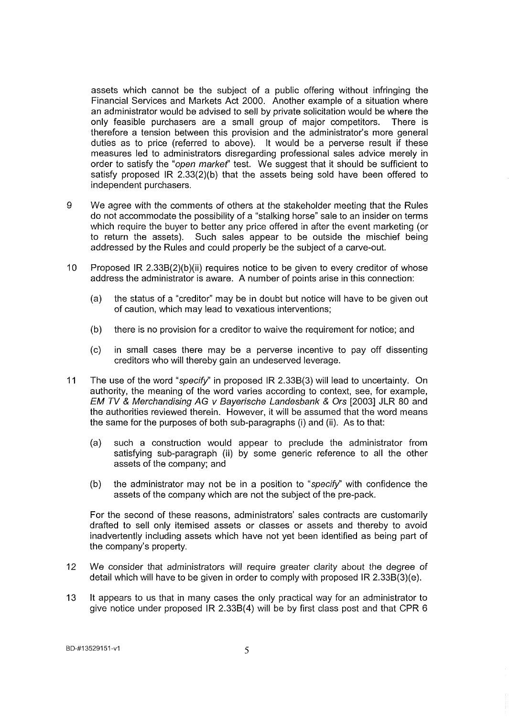assets which cannot be the subject of a public offering without infringing the Financial Services and Markets Act 2000. Another example of a situation where an administrator would be advised to sell by private solicitation would be where the only feasible purchasers are a small group of major competitors. There is therefore a tension between this provision and the administrator's more general duties as to price (referred to above). It would be a perverse result if these measures led to administrators disregarding professional sales advice merely in order to satisfy the "open market" test. We suggest that it should be sufficient to satisfy proposed IR 2.33(2)(b) that the assets being sold have been offered to independent purchasers.

- 9 We agree with the comments of others at the stakeholder meeting that the Rules do not accommodate the possibility of a "stalking horse" sale to an insider on terms which require the buyer to better any price offered in after the event marketing (or to return the assets). Such sales appear to be outside the mischief being addressed by the Rules and could properly be the subject of a carve-out.
- 10 Proposed IR 2.33B(2)(b)(ii) requires notice to be given to every creditor of whose address the administrator is aware. A number of points arise in this connection:
	- (a) the status of a "creditor" may be in doubt but notice will have to be given out of caution, which may lead to vexatious interventions;
	- (b) there is no provision for a creditor to waive the requirement for notice; and
	- (c) in small cases there may be a perverse incentive to pay off dissenting creditors who will thereby gain an undeserved leverage.
- 11 The use of the word "specify" in proposed IR 2.33B(3) will lead to uncertainty. On authority, the meaning of the word varies according to context, see, for example, EM TV & Merchandising AG v Bayerische Landesbank & Ors [2003] JLR 80 and the authorities reviewed therein. However, it will be assumed that the word means the same for the purposes of both sub-paragraphs (i) and (ii). As to that:
	- (a) such a construction would appear to preclude the administrator from satisfying sub-paragraph (ii) by some generic reference to all the other assets of the company; and
	- (b) the administrator may not be in a position to "specify" with confidence the assets of the company which are not the subject of the pre-pack.

For the second of these reasons, administrators' sales contracts are customarily drafted to sell only itemised assets or classes or assets and thereby to avoid inadvertently including assets which have not yet been identified as being part of the company's property.

- 12 We consider that administrators will require greater clarity about the degree of detail which will have to be given in order to comply with proposed IR 2.33B(3)(e).
- 13 It appears to us that in many cases the only practical way for an administrator to give notice under proposed IR 2.33B(4) will be by first class post and that CPR 6

BD-#13529151-v1 5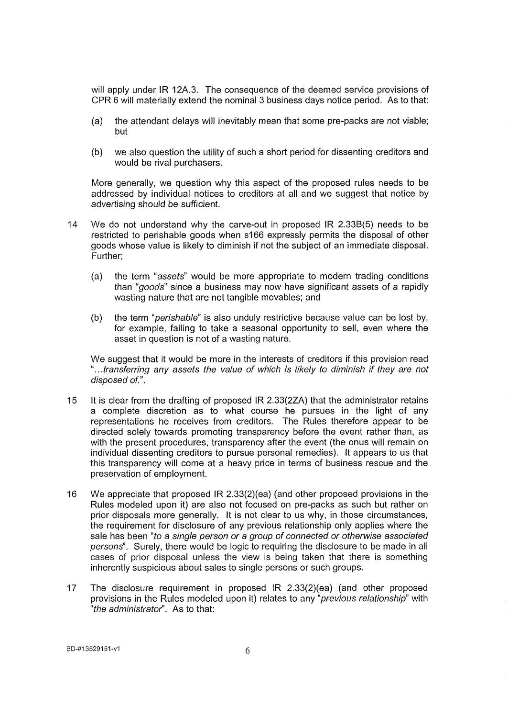will apply under IR 12A.3. The consequence of the deemed service provisions of CPR 6 will materially extend the nominal 3 business days notice period. As to that:

- (a) the attendant delays will inevitably mean that some pre-packs are not viable; but
- (b) we also question the utility of such a short period for dissenting creditors and would be rival purchasers.

More generally, we question why this aspect of the proposed rules needs to be addressed by individual notices to creditors at all and we suggest that notice by advertising should be sufficient.

- 14 We do not understand why the carve-out in proposed IR 2.33B(5) needs to be restricted to perishable goods when s166 expressly permits the disposal of other goods whose value is likely to diminish if not the subject of an immediate disposal. Further;
	- (a) the term "assets" would be more appropriate to modern trading conditions than "goods" since a business may now have significant assets of a rapidly wasting nature that are not tangible movables; and
	- (b) the term "perishable" is also unduly restrictive because value can be lost by, for example, failing to take a seasonal opportunity to sell, even where the asset in question is not of a wasting nature.

We suggest that it would be more in the interests of creditors if this provision read "...transferring any assets the value of which is likely to diminish if they are not disposed of.".

- 15 It is clear from the drafting of proposed IR 2.33(2ZA) that the administrator retains a complete discretion as to what course he pursues in the light of any representations he receives from creditors. The Rules therefore appear to be directed solely towards promoting transparency before the event rather than, as with the present procedures, transparency after the event (the onus will remain on individual dissenting creditors to pursue personal remedies). It appears to us that this transparency will come at a heavy price in terms of business rescue and the preservation of employment.
- 16 We appreciate that proposed IR 2.33(2)(ea) (and other proposed provisions in the Rules modeled upon it) are also not focused on pre-packs as such but rather on prior disposals more generally. It is not clear to us why, in those circumstances, the requirement for disclosure of any previous relationship only applies where the sale has been "to a single person or a group of connected or otherwise associated persons". Surely, there would be logic to requiring the disclosure to be made in all cases of prior disposal unless the view is being taken that there is something inherently suspicious about sales to single persons or such groups.
- 17 The disclosure requirement in proposed IR 2.33(2)(ea) (and other proposed provisions in the Rules modeled upon it) relates to any "previous relationship" with "the administrator". As to that: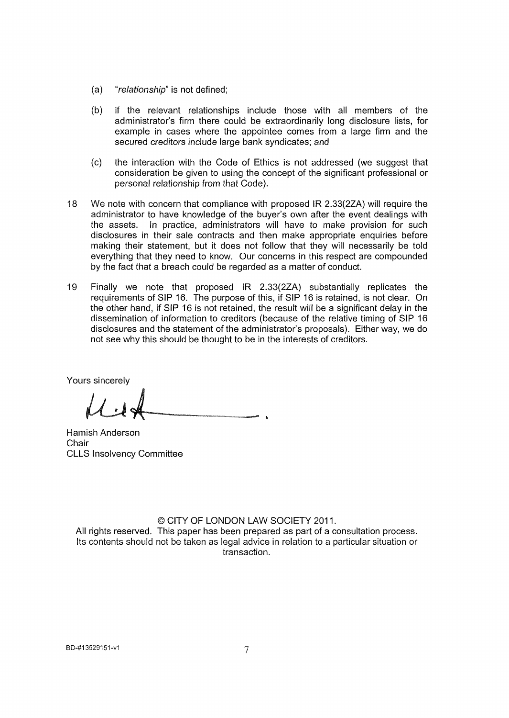- (a) "relationship" is not defined;
- (b) if the relevant relationships include those with all members of the administrator's firm there could be extraordinarily long disclosure lists, for example in cases where the appointee comes from a large firm and the secured creditors include large bank syndicates; and
- (c) the interaction with the Code of Ethics is not addressed (we suggest that consideration be given to using the concept of the significant professional or personal relationship from that Code).
- 18 We note with concern that compliance with proposed IR 2.33(2ZA) will require the administrator to have knowledge of the buyer's own after the event dealings with the assets. In practice, administrators will have to make provision for such disclosures in their sale contracts and then make appropriate enquiries before making their statement, but it does not follow that they will necessarily be told everything that they need to know. Our concerns in this respect are compounded by the fact that a breach could be regarded as a matter of conduct.
- 19 Finally we note that proposed IR 2.33(2ZA) substantially replicates the requirements of SIP 16. The purpose of this, if SIP 16 is retained, is not clear. On the other hand, if SIP 16 is not retained, the result will be a significant delay in the dissemination of information to creditors (because of the relative timing of SIP 16 disclosures and the statement of the administrator's proposals). Either way, we do not see why this should be thought to be in the interests of creditors.

Yours sincerely

Hamish Anderson **Chair** CLLS Insolvency Committee

## © CITY OF LONDON LAW SOCIETY 2011.

All rights reserved. This paper has been prepared as part of a consultation process. Its contents should not be taken as legal advice in relation to a particular situation or transaction.